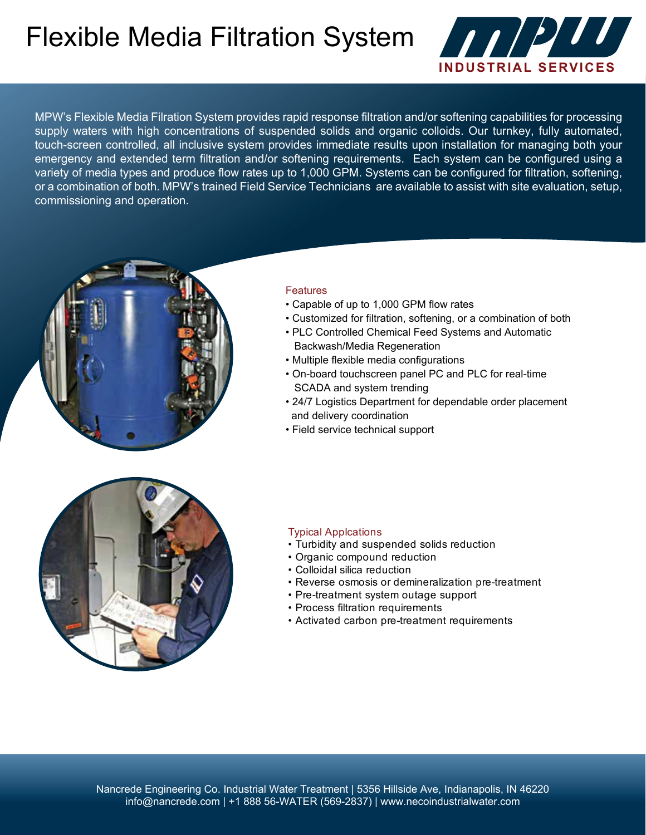## Flexible Media Filtration System



MPW's Flexible Media Filration System provides rapid response filtration and/or softening capabilities for processing supply waters with high concentrations of suspended solids and organic colloids. Our turnkey, fully automated, touch-screen controlled, all inclusive system provides immediate results upon installation for managing both your emergency and extended term filtration and/or softening requirements. Each system can be configured using a variety of media types and produce flow rates up to 1,000 GPM. Systems can be configured for filtration, softening, or a combination of both. MPW's trained Field Service Technicians are available to assist with site evaluation, setup, commissioning and operation.



#### **Features**

- Capable of up to 1,000 GPM flow rates
- Customized for filtration, softening, or a combination of both
- PLC Controlled Chemical Feed Systems and Automatic Backwash/Media Regeneration
- Multiple flexible media configurations
- On-board touchscreen panel PC and PLC for real-time SCADA and system trending
- 24/7 Logistics Department for dependable order placement and delivery coordination
- Field service technical support



#### Typical Applcations

- Turbidity and suspended solids reduction
- Organic compound reduction
- Colloidal silica reduction
- Reverse osmosis or demineralization pre‐treatment
- Pre-treatment system outage support
- Process filtration requirements
- Activated carbon pre-treatment requirements